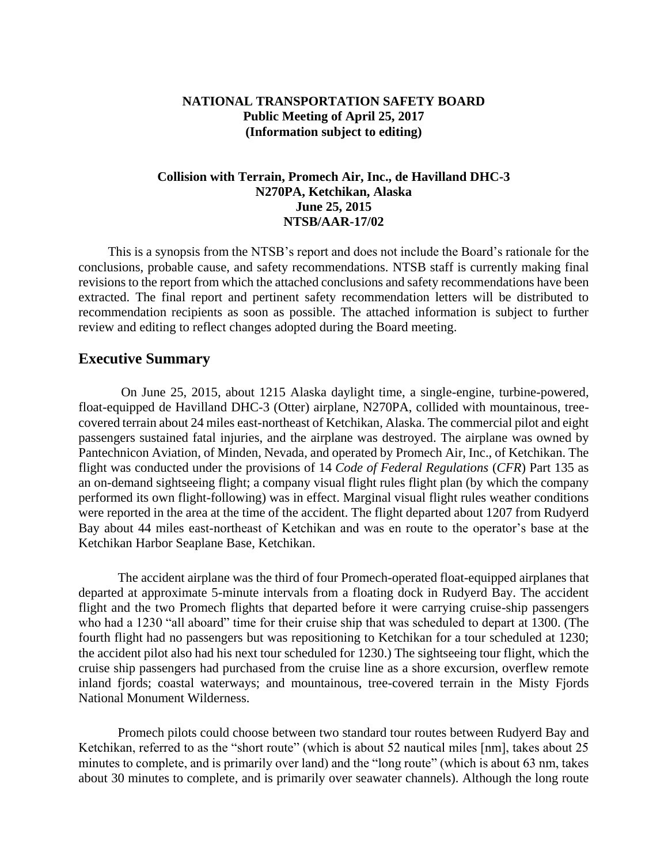## **NATIONAL TRANSPORTATION SAFETY BOARD Public Meeting of April 25, 2017 (Information subject to editing)**

## **Collision with Terrain, Promech Air, Inc., de Havilland DHC-3 N270PA, Ketchikan, Alaska June 25, 2015 NTSB/AAR-17/02**

This is a synopsis from the NTSB's report and does not include the Board's rationale for the conclusions, probable cause, and safety recommendations. NTSB staff is currently making final revisions to the report from which the attached conclusions and safety recommendations have been extracted. The final report and pertinent safety recommendation letters will be distributed to recommendation recipients as soon as possible. The attached information is subject to further review and editing to reflect changes adopted during the Board meeting.

# **Executive Summary**

On June 25, 2015, about 1215 Alaska daylight time, a single-engine, turbine-powered, float-equipped de Havilland DHC-3 (Otter) airplane, N270PA, collided with mountainous, treecovered terrain about 24 miles east-northeast of Ketchikan, Alaska. The commercial pilot and eight passengers sustained fatal injuries, and the airplane was destroyed. The airplane was owned by Pantechnicon Aviation, of Minden, Nevada, and operated by Promech Air, Inc., of Ketchikan. The flight was conducted under the provisions of 14 *Code of Federal Regulations* (*CFR*) Part 135 as an on-demand sightseeing flight; a company visual flight rules flight plan (by which the company performed its own flight-following) was in effect. Marginal visual flight rules weather conditions were reported in the area at the time of the accident. The flight departed about 1207 from Rudyerd Bay about 44 miles east-northeast of Ketchikan and was en route to the operator's base at the Ketchikan Harbor Seaplane Base, Ketchikan.

The accident airplane was the third of four Promech-operated float-equipped airplanes that departed at approximate 5-minute intervals from a floating dock in Rudyerd Bay. The accident flight and the two Promech flights that departed before it were carrying cruise-ship passengers who had a 1230 "all aboard" time for their cruise ship that was scheduled to depart at 1300. (The fourth flight had no passengers but was repositioning to Ketchikan for a tour scheduled at 1230; the accident pilot also had his next tour scheduled for 1230.) The sightseeing tour flight, which the cruise ship passengers had purchased from the cruise line as a shore excursion, overflew remote inland fjords; coastal waterways; and mountainous, tree-covered terrain in the Misty Fjords National Monument Wilderness.

Promech pilots could choose between two standard tour routes between Rudyerd Bay and Ketchikan, referred to as the "short route" (which is about 52 nautical miles [nm], takes about 25 minutes to complete, and is primarily over land) and the "long route" (which is about 63 nm, takes about 30 minutes to complete, and is primarily over seawater channels). Although the long route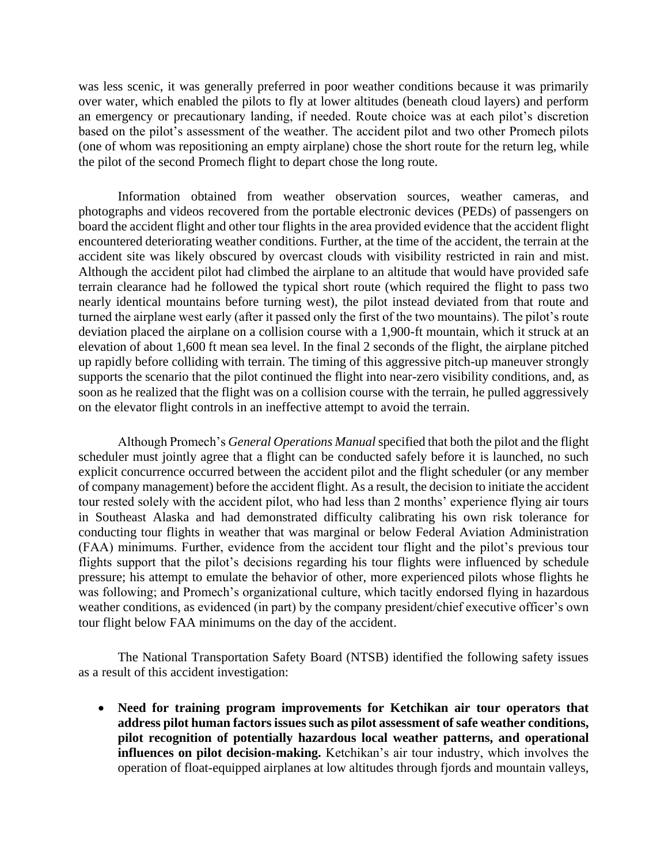was less scenic, it was generally preferred in poor weather conditions because it was primarily over water, which enabled the pilots to fly at lower altitudes (beneath cloud layers) and perform an emergency or precautionary landing, if needed. Route choice was at each pilot's discretion based on the pilot's assessment of the weather. The accident pilot and two other Promech pilots (one of whom was repositioning an empty airplane) chose the short route for the return leg, while the pilot of the second Promech flight to depart chose the long route.

Information obtained from weather observation sources, weather cameras, and photographs and videos recovered from the portable electronic devices (PEDs) of passengers on board the accident flight and other tour flights in the area provided evidence that the accident flight encountered deteriorating weather conditions. Further, at the time of the accident, the terrain at the accident site was likely obscured by overcast clouds with visibility restricted in rain and mist. Although the accident pilot had climbed the airplane to an altitude that would have provided safe terrain clearance had he followed the typical short route (which required the flight to pass two nearly identical mountains before turning west), the pilot instead deviated from that route and turned the airplane west early (after it passed only the first of the two mountains). The pilot's route deviation placed the airplane on a collision course with a 1,900-ft mountain, which it struck at an elevation of about 1,600 ft mean sea level. In the final 2 seconds of the flight, the airplane pitched up rapidly before colliding with terrain. The timing of this aggressive pitch-up maneuver strongly supports the scenario that the pilot continued the flight into near-zero visibility conditions, and, as soon as he realized that the flight was on a collision course with the terrain, he pulled aggressively on the elevator flight controls in an ineffective attempt to avoid the terrain.

Although Promech's *General Operations Manual* specified that both the pilot and the flight scheduler must jointly agree that a flight can be conducted safely before it is launched, no such explicit concurrence occurred between the accident pilot and the flight scheduler (or any member of company management) before the accident flight. As a result, the decision to initiate the accident tour rested solely with the accident pilot, who had less than 2 months' experience flying air tours in Southeast Alaska and had demonstrated difficulty calibrating his own risk tolerance for conducting tour flights in weather that was marginal or below Federal Aviation Administration (FAA) minimums. Further, evidence from the accident tour flight and the pilot's previous tour flights support that the pilot's decisions regarding his tour flights were influenced by schedule pressure; his attempt to emulate the behavior of other, more experienced pilots whose flights he was following; and Promech's organizational culture, which tacitly endorsed flying in hazardous weather conditions, as evidenced (in part) by the company president/chief executive officer's own tour flight below FAA minimums on the day of the accident.

The National Transportation Safety Board (NTSB) identified the following safety issues as a result of this accident investigation:

 **Need for training program improvements for Ketchikan air tour operators that address pilot human factors issues such as pilot assessment of safe weather conditions, pilot recognition of potentially hazardous local weather patterns, and operational influences on pilot decision-making.** Ketchikan's air tour industry, which involves the operation of float-equipped airplanes at low altitudes through fjords and mountain valleys,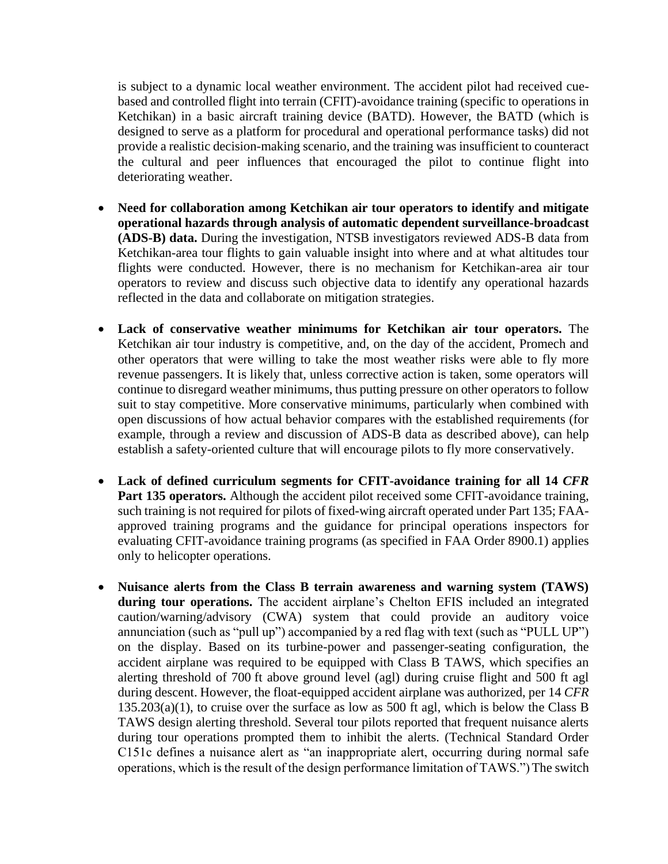is subject to a dynamic local weather environment. The accident pilot had received cuebased and controlled flight into terrain (CFIT)-avoidance training (specific to operations in Ketchikan) in a basic aircraft training device (BATD). However, the BATD (which is designed to serve as a platform for procedural and operational performance tasks) did not provide a realistic decision-making scenario, and the training was insufficient to counteract the cultural and peer influences that encouraged the pilot to continue flight into deteriorating weather.

- **Need for collaboration among Ketchikan air tour operators to identify and mitigate operational hazards through analysis of automatic dependent surveillance-broadcast (ADS-B) data.** During the investigation, NTSB investigators reviewed ADS-B data from Ketchikan-area tour flights to gain valuable insight into where and at what altitudes tour flights were conducted. However, there is no mechanism for Ketchikan-area air tour operators to review and discuss such objective data to identify any operational hazards reflected in the data and collaborate on mitigation strategies.
- **Lack of conservative weather minimums for Ketchikan air tour operators.** The Ketchikan air tour industry is competitive, and, on the day of the accident, Promech and other operators that were willing to take the most weather risks were able to fly more revenue passengers. It is likely that, unless corrective action is taken, some operators will continue to disregard weather minimums, thus putting pressure on other operators to follow suit to stay competitive. More conservative minimums, particularly when combined with open discussions of how actual behavior compares with the established requirements (for example, through a review and discussion of ADS-B data as described above), can help establish a safety-oriented culture that will encourage pilots to fly more conservatively.
- **Lack of defined curriculum segments for CFIT-avoidance training for all 14** *CFR* Part 135 operators. Although the accident pilot received some CFIT-avoidance training, such training is not required for pilots of fixed-wing aircraft operated under Part 135; FAAapproved training programs and the guidance for principal operations inspectors for evaluating CFIT-avoidance training programs (as specified in FAA Order 8900.1) applies only to helicopter operations.
- **Nuisance alerts from the Class B terrain awareness and warning system (TAWS) during tour operations.** The accident airplane's Chelton EFIS included an integrated caution/warning/advisory (CWA) system that could provide an auditory voice annunciation (such as "pull up") accompanied by a red flag with text (such as "PULL UP") on the display. Based on its turbine-power and passenger-seating configuration, the accident airplane was required to be equipped with Class B TAWS, which specifies an alerting threshold of 700 ft above ground level (agl) during cruise flight and 500 ft agl during descent. However, the float-equipped accident airplane was authorized, per 14 *CFR*  $135.203(a)(1)$ , to cruise over the surface as low as 500 ft agl, which is below the Class B TAWS design alerting threshold. Several tour pilots reported that frequent nuisance alerts during tour operations prompted them to inhibit the alerts. (Technical Standard Order C151c defines a nuisance alert as "an inappropriate alert, occurring during normal safe operations, which is the result of the design performance limitation of TAWS.")The switch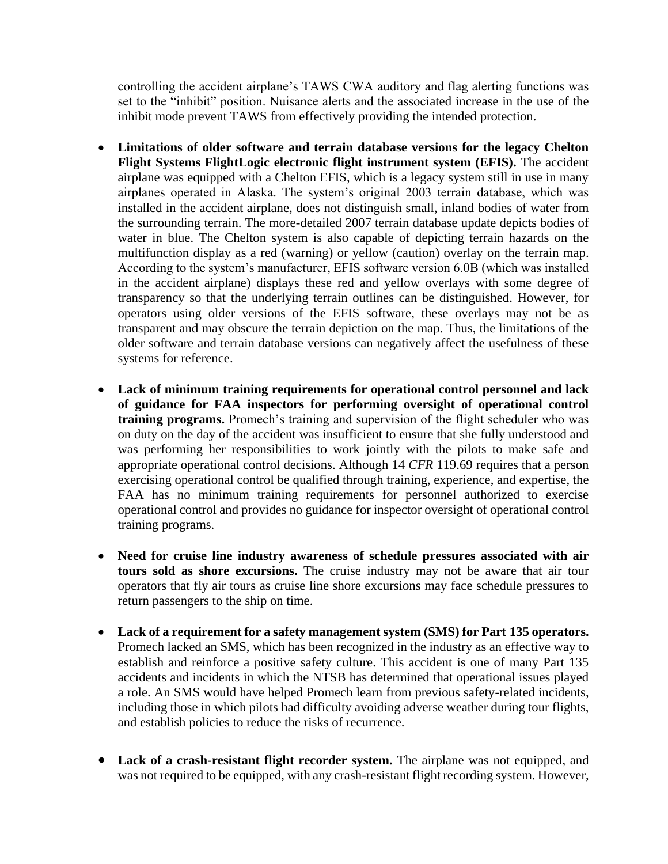controlling the accident airplane's TAWS CWA auditory and flag alerting functions was set to the "inhibit" position. Nuisance alerts and the associated increase in the use of the inhibit mode prevent TAWS from effectively providing the intended protection.

- **Limitations of older software and terrain database versions for the legacy Chelton Flight Systems FlightLogic electronic flight instrument system (EFIS).** The accident airplane was equipped with a Chelton EFIS, which is a legacy system still in use in many airplanes operated in Alaska. The system's original 2003 terrain database, which was installed in the accident airplane, does not distinguish small, inland bodies of water from the surrounding terrain. The more-detailed 2007 terrain database update depicts bodies of water in blue. The Chelton system is also capable of depicting terrain hazards on the multifunction display as a red (warning) or yellow (caution) overlay on the terrain map. According to the system's manufacturer, EFIS software version 6.0B (which was installed in the accident airplane) displays these red and yellow overlays with some degree of transparency so that the underlying terrain outlines can be distinguished. However, for operators using older versions of the EFIS software, these overlays may not be as transparent and may obscure the terrain depiction on the map. Thus, the limitations of the older software and terrain database versions can negatively affect the usefulness of these systems for reference.
- **Lack of minimum training requirements for operational control personnel and lack of guidance for FAA inspectors for performing oversight of operational control training programs.** Promech's training and supervision of the flight scheduler who was on duty on the day of the accident was insufficient to ensure that she fully understood and was performing her responsibilities to work jointly with the pilots to make safe and appropriate operational control decisions. Although 14 *CFR* 119.69 requires that a person exercising operational control be qualified through training, experience, and expertise, the FAA has no minimum training requirements for personnel authorized to exercise operational control and provides no guidance for inspector oversight of operational control training programs.
- **Need for cruise line industry awareness of schedule pressures associated with air tours sold as shore excursions.** The cruise industry may not be aware that air tour operators that fly air tours as cruise line shore excursions may face schedule pressures to return passengers to the ship on time.
- **Lack of a requirement for a safety management system (SMS) for Part 135 operators.** Promech lacked an SMS, which has been recognized in the industry as an effective way to establish and reinforce a positive safety culture. This accident is one of many Part 135 accidents and incidents in which the NTSB has determined that operational issues played a role. An SMS would have helped Promech learn from previous safety-related incidents, including those in which pilots had difficulty avoiding adverse weather during tour flights, and establish policies to reduce the risks of recurrence.
- **Lack of a crash-resistant flight recorder system.** The airplane was not equipped, and was not required to be equipped, with any crash-resistant flight recording system. However,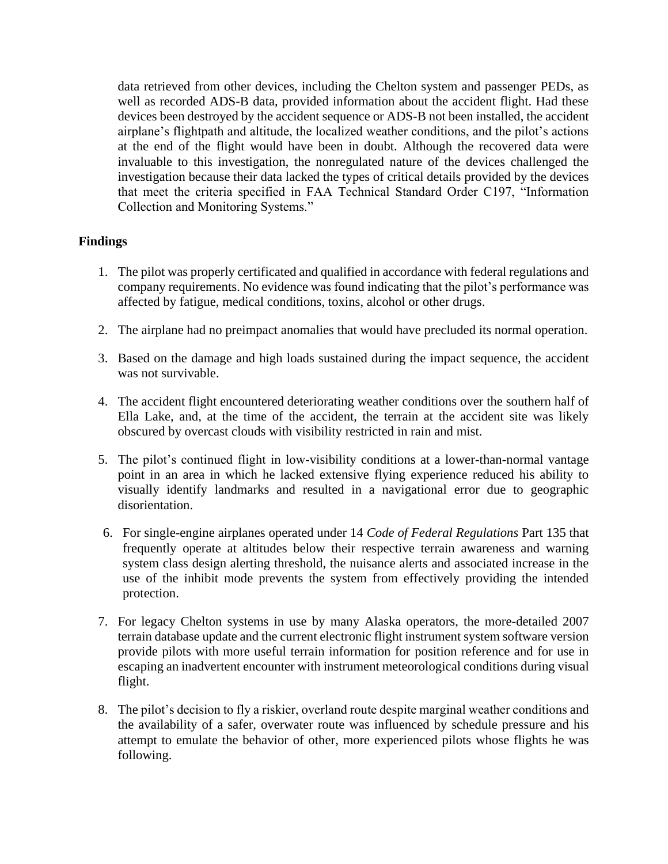data retrieved from other devices, including the Chelton system and passenger PEDs, as well as recorded ADS-B data, provided information about the accident flight. Had these devices been destroyed by the accident sequence or ADS-B not been installed, the accident airplane's flightpath and altitude, the localized weather conditions, and the pilot's actions at the end of the flight would have been in doubt. Although the recovered data were invaluable to this investigation, the nonregulated nature of the devices challenged the investigation because their data lacked the types of critical details provided by the devices that meet the criteria specified in FAA Technical Standard Order C197, "Information Collection and Monitoring Systems."

# **Findings**

- 1. The pilot was properly certificated and qualified in accordance with federal regulations and company requirements. No evidence was found indicating that the pilot's performance was affected by fatigue, medical conditions, toxins, alcohol or other drugs.
- 2. The airplane had no preimpact anomalies that would have precluded its normal operation.
- 3. Based on the damage and high loads sustained during the impact sequence, the accident was not survivable.
- 4. The accident flight encountered deteriorating weather conditions over the southern half of Ella Lake, and, at the time of the accident, the terrain at the accident site was likely obscured by overcast clouds with visibility restricted in rain and mist.
- 5. The pilot's continued flight in low-visibility conditions at a lower-than-normal vantage point in an area in which he lacked extensive flying experience reduced his ability to visually identify landmarks and resulted in a navigational error due to geographic disorientation.
- 6. For single-engine airplanes operated under 14 *Code of Federal Regulations* Part 135 that frequently operate at altitudes below their respective terrain awareness and warning system class design alerting threshold, the nuisance alerts and associated increase in the use of the inhibit mode prevents the system from effectively providing the intended protection.
- 7. For legacy Chelton systems in use by many Alaska operators, the more-detailed 2007 terrain database update and the current electronic flight instrument system software version provide pilots with more useful terrain information for position reference and for use in escaping an inadvertent encounter with instrument meteorological conditions during visual flight.
- 8. The pilot's decision to fly a riskier, overland route despite marginal weather conditions and the availability of a safer, overwater route was influenced by schedule pressure and his attempt to emulate the behavior of other, more experienced pilots whose flights he was following.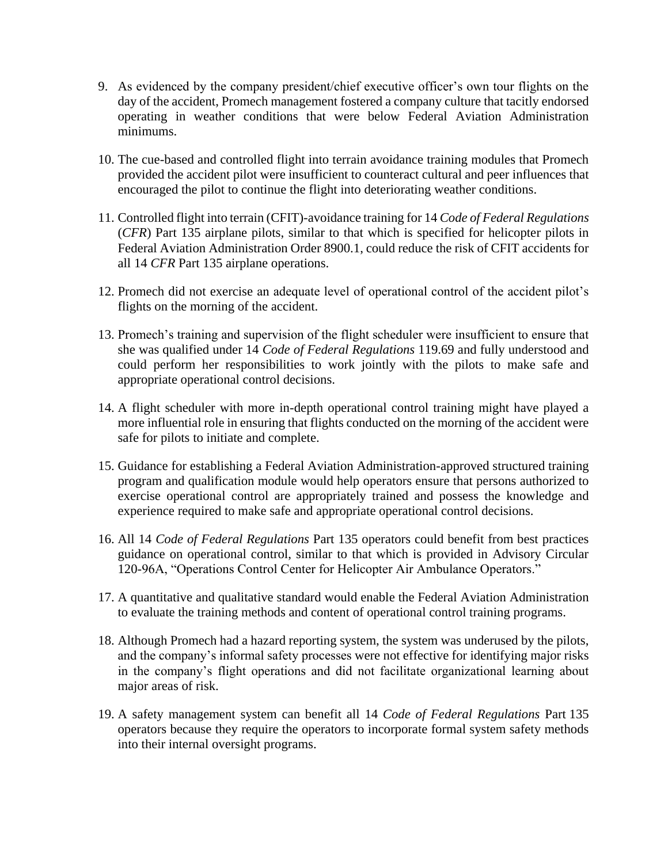- 9. As evidenced by the company president/chief executive officer's own tour flights on the day of the accident, Promech management fostered a company culture that tacitly endorsed operating in weather conditions that were below Federal Aviation Administration minimums.
- 10. The cue-based and controlled flight into terrain avoidance training modules that Promech provided the accident pilot were insufficient to counteract cultural and peer influences that encouraged the pilot to continue the flight into deteriorating weather conditions.
- 11. Controlled flight into terrain (CFIT)-avoidance training for 14 *Code of Federal Regulations* (*CFR*) Part 135 airplane pilots, similar to that which is specified for helicopter pilots in Federal Aviation Administration Order 8900.1, could reduce the risk of CFIT accidents for all 14 *CFR* Part 135 airplane operations.
- 12. Promech did not exercise an adequate level of operational control of the accident pilot's flights on the morning of the accident.
- 13. Promech's training and supervision of the flight scheduler were insufficient to ensure that she was qualified under 14 *Code of Federal Regulations* 119.69 and fully understood and could perform her responsibilities to work jointly with the pilots to make safe and appropriate operational control decisions.
- 14. A flight scheduler with more in-depth operational control training might have played a more influential role in ensuring that flights conducted on the morning of the accident were safe for pilots to initiate and complete.
- 15. Guidance for establishing a Federal Aviation Administration-approved structured training program and qualification module would help operators ensure that persons authorized to exercise operational control are appropriately trained and possess the knowledge and experience required to make safe and appropriate operational control decisions.
- 16. All 14 *Code of Federal Regulations* Part 135 operators could benefit from best practices guidance on operational control, similar to that which is provided in Advisory Circular 120-96A, "Operations Control Center for Helicopter Air Ambulance Operators."
- 17. A quantitative and qualitative standard would enable the Federal Aviation Administration to evaluate the training methods and content of operational control training programs.
- 18. Although Promech had a hazard reporting system, the system was underused by the pilots, and the company's informal safety processes were not effective for identifying major risks in the company's flight operations and did not facilitate organizational learning about major areas of risk.
- 19. A safety management system can benefit all 14 *Code of Federal Regulations* Part 135 operators because they require the operators to incorporate formal system safety methods into their internal oversight programs.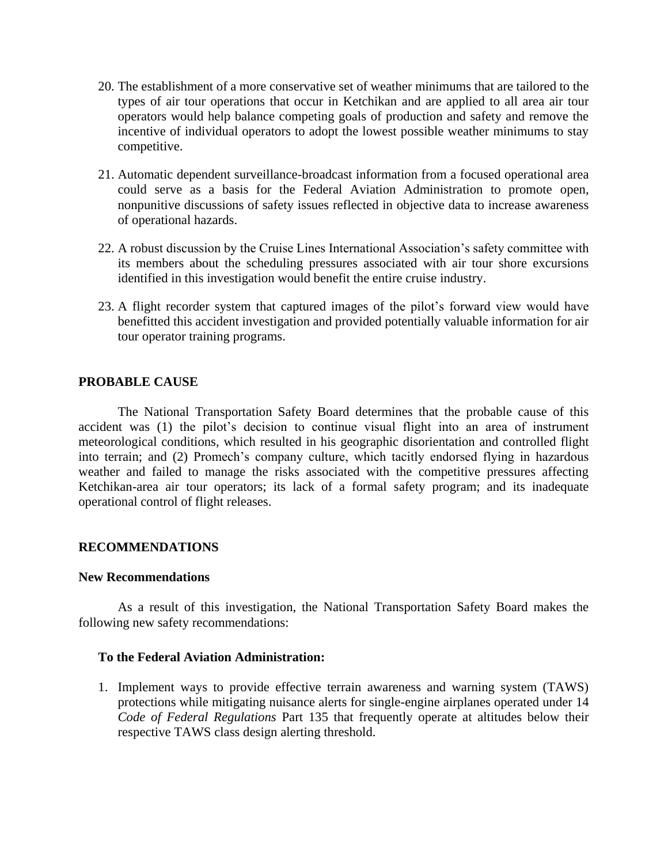- 20. The establishment of a more conservative set of weather minimums that are tailored to the types of air tour operations that occur in Ketchikan and are applied to all area air tour operators would help balance competing goals of production and safety and remove the incentive of individual operators to adopt the lowest possible weather minimums to stay competitive.
- 21. Automatic dependent surveillance-broadcast information from a focused operational area could serve as a basis for the Federal Aviation Administration to promote open, nonpunitive discussions of safety issues reflected in objective data to increase awareness of operational hazards.
- 22. A robust discussion by the Cruise Lines International Association's safety committee with its members about the scheduling pressures associated with air tour shore excursions identified in this investigation would benefit the entire cruise industry.
- 23. A flight recorder system that captured images of the pilot's forward view would have benefitted this accident investigation and provided potentially valuable information for air tour operator training programs.

## **PROBABLE CAUSE**

The National Transportation Safety Board determines that the probable cause of this accident was (1) the pilot's decision to continue visual flight into an area of instrument meteorological conditions, which resulted in his geographic disorientation and controlled flight into terrain; and (2) Promech's company culture, which tacitly endorsed flying in hazardous weather and failed to manage the risks associated with the competitive pressures affecting Ketchikan-area air tour operators; its lack of a formal safety program; and its inadequate operational control of flight releases.

## **RECOMMENDATIONS**

#### **New Recommendations**

As a result of this investigation, the National Transportation Safety Board makes the following new safety recommendations:

#### **To the Federal Aviation Administration:**

1. Implement ways to provide effective terrain awareness and warning system (TAWS) protections while mitigating nuisance alerts for single-engine airplanes operated under 14 *Code of Federal Regulations* Part 135 that frequently operate at altitudes below their respective TAWS class design alerting threshold.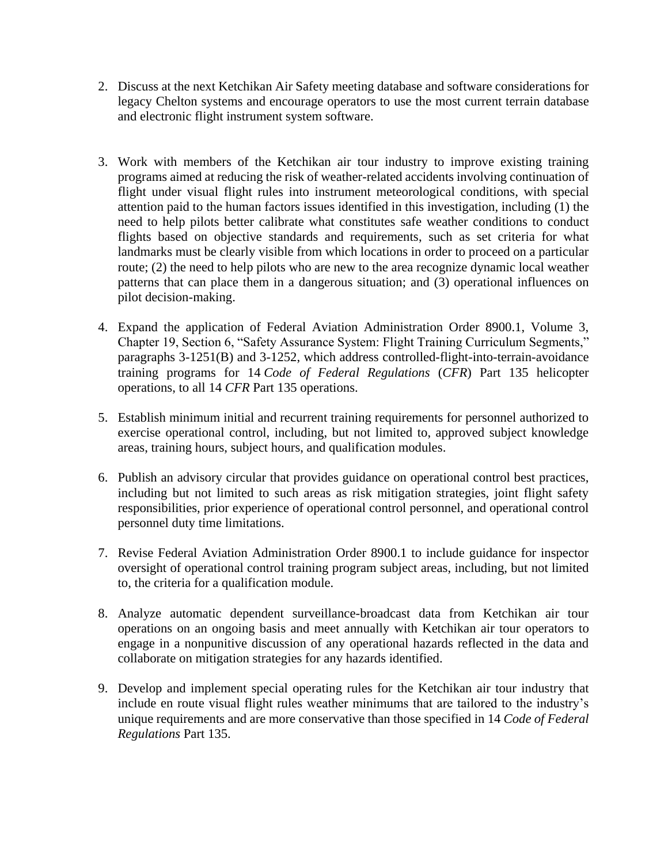- 2. Discuss at the next Ketchikan Air Safety meeting database and software considerations for legacy Chelton systems and encourage operators to use the most current terrain database and electronic flight instrument system software.
- 3. Work with members of the Ketchikan air tour industry to improve existing training programs aimed at reducing the risk of weather-related accidents involving continuation of flight under visual flight rules into instrument meteorological conditions, with special attention paid to the human factors issues identified in this investigation, including (1) the need to help pilots better calibrate what constitutes safe weather conditions to conduct flights based on objective standards and requirements, such as set criteria for what landmarks must be clearly visible from which locations in order to proceed on a particular route; (2) the need to help pilots who are new to the area recognize dynamic local weather patterns that can place them in a dangerous situation; and (3) operational influences on pilot decision-making.
- 4. Expand the application of Federal Aviation Administration Order 8900.1, Volume 3, Chapter 19, Section 6, "Safety Assurance System: Flight Training Curriculum Segments," paragraphs 3-1251(B) and 3-1252, which address controlled-flight-into-terrain-avoidance training programs for 14 *Code of Federal Regulations* (*CFR*) Part 135 helicopter operations, to all 14 *CFR* Part 135 operations.
- 5. Establish minimum initial and recurrent training requirements for personnel authorized to exercise operational control, including, but not limited to, approved subject knowledge areas, training hours, subject hours, and qualification modules.
- 6. Publish an advisory circular that provides guidance on operational control best practices, including but not limited to such areas as risk mitigation strategies, joint flight safety responsibilities, prior experience of operational control personnel, and operational control personnel duty time limitations.
- 7. Revise Federal Aviation Administration Order 8900.1 to include guidance for inspector oversight of operational control training program subject areas, including, but not limited to, the criteria for a qualification module.
- 8. Analyze automatic dependent surveillance-broadcast data from Ketchikan air tour operations on an ongoing basis and meet annually with Ketchikan air tour operators to engage in a nonpunitive discussion of any operational hazards reflected in the data and collaborate on mitigation strategies for any hazards identified.
- 9. Develop and implement special operating rules for the Ketchikan air tour industry that include en route visual flight rules weather minimums that are tailored to the industry's unique requirements and are more conservative than those specified in 14 *Code of Federal Regulations* Part 135.